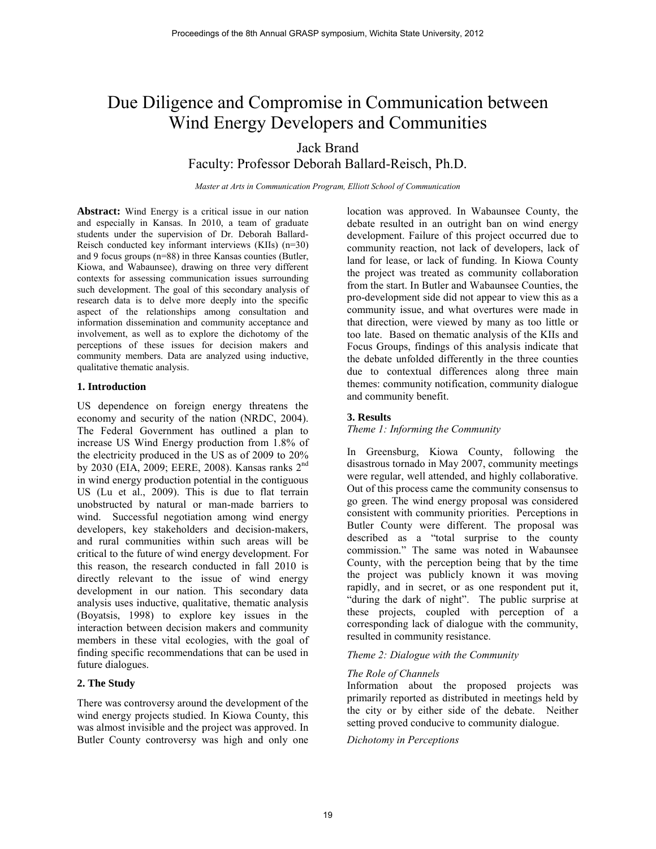# Due Diligence and Compromise in Communication between Wind Energy Developers and Communities

Jack Brand

Faculty: Professor Deborah Ballard-Reisch, Ph.D.

*Master at Arts in Communication Program, Elliott School of Communication* 

**Abstract:** Wind Energy is a critical issue in our nation and especially in Kansas. In 2010, a team of graduate students under the supervision of Dr. Deborah Ballard-Reisch conducted key informant interviews (KIIs) (n=30) and 9 focus groups (n=88) in three Kansas counties (Butler, Kiowa, and Wabaunsee), drawing on three very different contexts for assessing communication issues surrounding such development. The goal of this secondary analysis of research data is to delve more deeply into the specific aspect of the relationships among consultation and information dissemination and community acceptance and involvement, as well as to explore the dichotomy of the perceptions of these issues for decision makers and community members. Data are analyzed using inductive, qualitative thematic analysis.

### **1. Introduction**

US dependence on foreign energy threatens the economy and security of the nation (NRDC, 2004). The Federal Government has outlined a plan to increase US Wind Energy production from 1.8% of the electricity produced in the US as of 2009 to 20% by 2030 (EIA, 2009; EERE, 2008). Kansas ranks 2nd in wind energy production potential in the contiguous US (Lu et al., 2009). This is due to flat terrain unobstructed by natural or man-made barriers to wind. Successful negotiation among wind energy developers, key stakeholders and decision-makers, and rural communities within such areas will be critical to the future of wind energy development. For this reason, the research conducted in fall 2010 is directly relevant to the issue of wind energy development in our nation. This secondary data analysis uses inductive, qualitative, thematic analysis (Boyatsis, 1998) to explore key issues in the interaction between decision makers and community members in these vital ecologies, with the goal of finding specific recommendations that can be used in future dialogues.

### **2. The Study**

There was controversy around the development of the wind energy projects studied. In Kiowa County, this was almost invisible and the project was approved. In Butler County controversy was high and only one

location was approved. In Wabaunsee County, the debate resulted in an outright ban on wind energy development. Failure of this project occurred due to community reaction, not lack of developers, lack of land for lease, or lack of funding. In Kiowa County the project was treated as community collaboration from the start. In Butler and Wabaunsee Counties, the pro-development side did not appear to view this as a community issue, and what overtures were made in that direction, were viewed by many as too little or too late. Based on thematic analysis of the KIIs and Focus Groups, findings of this analysis indicate that the debate unfolded differently in the three counties due to contextual differences along three main themes: community notification, community dialogue and community benefit.

## **3. Results**

*Theme 1: Informing the Community*

In Greensburg, Kiowa County, following the disastrous tornado in May 2007, community meetings were regular, well attended, and highly collaborative. Out of this process came the community consensus to go green. The wind energy proposal was considered consistent with community priorities. Perceptions in Butler County were different. The proposal was described as a "total surprise to the county commission." The same was noted in Wabaunsee County, with the perception being that by the time the project was publicly known it was moving rapidly, and in secret, or as one respondent put it, "during the dark of night". The public surprise at these projects, coupled with perception of a corresponding lack of dialogue with the community, resulted in community resistance.

### *Theme 2: Dialogue with the Community*

### *The Role of Channels*

Information about the proposed projects was primarily reported as distributed in meetings held by the city or by either side of the debate. Neither setting proved conducive to community dialogue.

#### *Dichotomy in Perceptions*